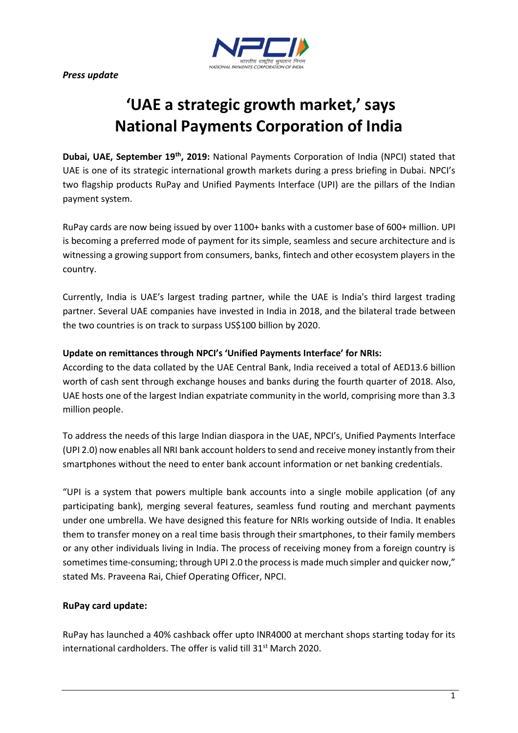*Press update*



# **'UAE a strategic growth market,' says National Payments Corporation of India**

**Dubai, UAE, September 19th, 2019:** National Payments Corporation of India (NPCI) stated that UAE is one of its strategic international growth markets during a press briefing in Dubai. NPCI's two flagship products RuPay and Unified Payments Interface (UPI) are the pillars of the Indian payment system.

RuPay cards are now being issued by over 1100+ banks with a customer base of 600+ million. UPI is becoming a preferred mode of payment for its simple, seamless and secure architecture and is witnessing a growing support from consumers, banks, fintech and other ecosystem players in the country.

Currently, India is UAE's largest trading partner, while the UAE is India's third largest trading partner. Several UAE companies have invested in India in 2018, and the bilateral trade between the two countries is on track to surpass US\$100 billion by 2020.

## **Update on remittances through NPCI's 'Unified Payments Interface' for NRIs:**

According to the data collated by the UAE Central Bank, India received a total of AED13.6 billion worth of cash sent through exchange houses and banks during the fourth quarter of 2018. Also, UAE hosts one of the largest Indian expatriate community in the world, comprising more than 3.3 million people.

To address the needs of this large Indian diaspora in the UAE, NPCI's, Unified Payments Interface (UPI 2.0) now enables all NRI bank account holders to send and receive money instantly from their smartphones without the need to enter bank account information or net banking credentials.

"UPI is a system that powers multiple bank accounts into a single mobile application (of any participating bank), merging several features, seamless fund routing and merchant payments under one umbrella. We have designed this feature for NRIs working outside of India. It enables them to transfer money on a real time basis through their smartphones, to their family members or any other individuals living in India. The process of receiving money from a foreign country is sometimes time-consuming; through UPI 2.0 the process is made much simpler and quicker now," stated Ms. Praveena Rai, Chief Operating Officer, NPCI.

# **RuPay card update:**

RuPay has launched a 40% cashback offer upto INR4000 at merchant shops starting today for its international cardholders. The offer is valid till 31<sup>st</sup> March 2020.